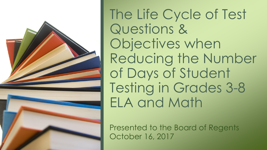

The Life Cycle of Test Questions & Objectives when Reducing the Number of Days of Student Testing in Grades 3-8 ELA and Math

Presented to the Board of Regents October 16, 2017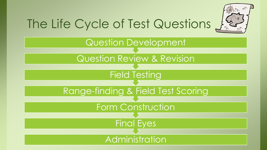

## The Life Cycle of Test Questions

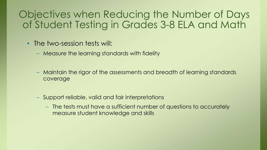## Objectives when Reducing the Number of Days of Student Testing in Grades 3-8 ELA and Math

- The two-session tests will:
	- Measure the learning standards with fidelity
	- Maintain the rigor of the assessments and breadth of learning standards coverage
	- Support reliable, valid and fair interpretations
		- The tests must have a sufficient number of questions to accurately measure student knowledge and skills